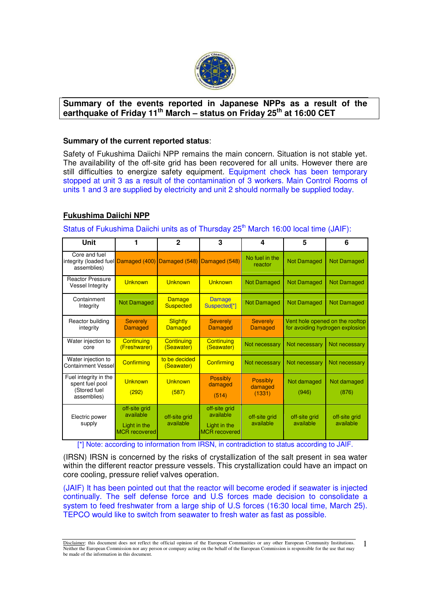

# **Summary of the events reported in Japanese NPPs as a result of the earthquake of Friday 11th March – status on Friday 25th at 16:00 CET**

### **Summary of the current reported status**:

Safety of Fukushima Daiichi NPP remains the main concern. Situation is not stable yet. The availability of the off-site grid has been recovered for all units. However there are still difficulties to energize safety equipment. Equipment check has been temporary stopped at unit 3 as a result of the contamination of 3 workers. Main Control Rooms of units 1 and 3 are supplied by electricity and unit 2 should normally be supplied today.

# **Fukushima Daiichi NPP**

Status of Fukushima Daiichi units as of Thursday 25<sup>th</sup> March 16:00 local time (JAIF):

| <b>Unit</b>                                                             |                                                                    | $\mathbf{2}$                      | 3                                                                  | 4                                    | 5                                                                  | 6                          |
|-------------------------------------------------------------------------|--------------------------------------------------------------------|-----------------------------------|--------------------------------------------------------------------|--------------------------------------|--------------------------------------------------------------------|----------------------------|
| Core and fuel<br>integrity (loaded fuel Damaged (400)<br>assemblies)    |                                                                    |                                   | Damaged (548) Damaged (548)                                        | No fuel in the<br>reactor            | <b>Not Damaged</b>                                                 | <b>Not Damaged</b>         |
| <b>Reactor Pressure</b><br><b>Vessel Integrity</b>                      | Unknown                                                            | Unknown                           | <b>Unknown</b>                                                     | <b>Not Damaged</b>                   | <b>Not Damaged</b>                                                 | <b>Not Damaged</b>         |
| Containment<br>Integrity                                                | <b>Not Damaged</b>                                                 | <b>Damage</b><br><b>Suspected</b> | <b>Damage</b><br>Suspected[*]                                      | <b>Not Damaged</b>                   | <b>Not Damaged</b>                                                 | <b>Not Damaged</b>         |
| Reactor building<br>integrity                                           | <b>Severely</b><br><b>Damaged</b>                                  | <b>Slightly</b><br><b>Damaged</b> | <b>Severely</b><br><b>Damaged</b>                                  | <b>Severely</b><br><b>Damaged</b>    | Vent hole opened on the rooftop<br>for avoiding hydrogen explosion |                            |
| Water injection to<br>core                                              | Continuina<br>(Freshwarer)                                         | Continuina<br>(Seawater)          | <b>Continuing</b><br>(Seawater)                                    | Not necessary                        | Not necessary                                                      | Not necessary              |
| Water injection to<br>Containment Vessel                                | <b>Confirming</b>                                                  | to be decided<br>(Seawater)       | Confirming                                                         | Not necessary                        | Not necessary                                                      | Not necessary              |
| Fuel integrity in the<br>spent fuel pool<br>(Stored fuel<br>assemblies) | <b>Unknown</b><br>(292)                                            | Unknown<br>(587)                  | Possibly<br>damaged<br>(514)                                       | <b>Possibly</b><br>damaged<br>(1331) | Not damaged<br>(946)                                               | Not damaged<br>(876)       |
| Electric power<br>supply                                                | off-site grid<br>available<br>Light in the<br><b>MCR</b> recovered | off-site grid<br>available        | off-site grid<br>available<br>Light in the<br><b>MCR</b> recovered | off-site grid<br>available           | off-site grid<br>available                                         | off-site grid<br>available |

[\*] Note: according to information from IRSN, in contradiction to status according to JAIF.

(IRSN) IRSN is concerned by the risks of crystallization of the salt present in sea water within the different reactor pressure vessels. This crystallization could have an impact on core cooling, pressure relief valves operation.

(JAIF) It has been pointed out that the reactor will become eroded if seawater is injected continually. The self defense force and U.S forces made decision to consolidate a system to feed freshwater from a large ship of U.S forces (16:30 local time, March 25). TEPCO would like to switch from seawater to fresh water as fast as possible.

Disclaimer: this document does not reflect the official opinion of the European Communities or any other European Community Institutions. Neither the European Commission nor any person or company acting on the behalf of the European Commission is responsible for the use that may be made of the information in this document. 1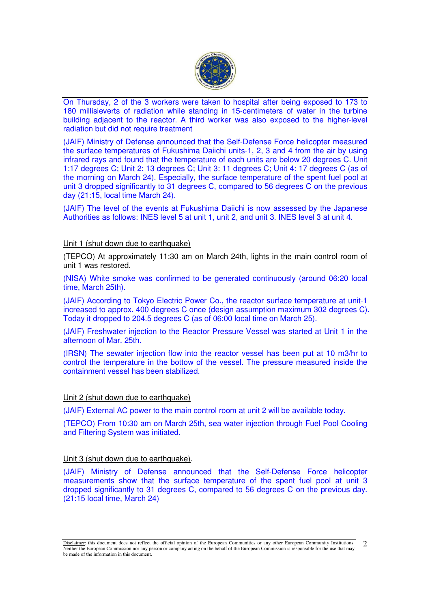

On Thursday, 2 of the 3 workers were taken to hospital after being exposed to 173 to 180 millisieverts of radiation while standing in 15-centimeters of water in the turbine building adjacent to the reactor. A third worker was also exposed to the higher-level radiation but did not require treatment

(JAIF) Ministry of Defense announced that the Self-Defense Force helicopter measured the surface temperatures of Fukushima Daiichi units-1, 2, 3 and 4 from the air by using infrared rays and found that the temperature of each units are below 20 degrees C. Unit 1:17 degrees C; Unit 2: 13 degrees C; Unit 3: 11 degrees C; Unit 4: 17 degrees C (as of the morning on March 24). Especially, the surface temperature of the spent fuel pool at unit 3 dropped significantly to 31 degrees C, compared to 56 degrees C on the previous day (21:15, local time March 24).

(JAIF) The level of the events at Fukushima Daiichi is now assessed by the Japanese Authorities as follows: INES level 5 at unit 1, unit 2, and unit 3. INES level 3 at unit 4.

## Unit 1 (shut down due to earthquake)

(TEPCO) At approximately 11:30 am on March 24th, lights in the main control room of unit 1 was restored.

(NISA) White smoke was confirmed to be generated continuously (around 06:20 local time, March 25th).

(JAIF) According to Tokyo Electric Power Co., the reactor surface temperature at unit-1 increased to approx. 400 degrees C once (design assumption maximum 302 degrees C). Today it dropped to 204.5 degrees C (as of 06:00 local time on March 25).

(JAIF) Freshwater injection to the Reactor Pressure Vessel was started at Unit 1 in the afternoon of Mar. 25th.

(IRSN) The sewater injection flow into the reactor vessel has been put at 10 m3/hr to control the temperature in the bottow of the vessel. The pressure measured inside the containment vessel has been stabilized.

## Unit 2 (shut down due to earthquake)

(JAIF) External AC power to the main control room at unit 2 will be available today.

(TEPCO) From 10:30 am on March 25th, sea water injection through Fuel Pool Cooling and Filtering System was initiated.

## Unit 3 (shut down due to earthquake).

(JAIF) Ministry of Defense announced that the Self-Defense Force helicopter measurements show that the surface temperature of the spent fuel pool at unit 3 dropped significantly to 31 degrees C, compared to 56 degrees C on the previous day. (21:15 local time, March 24)

Disclaimer: this document does not reflect the official opinion of the European Communities or any other European Community Institutions. Neither the European Commission nor any person or company acting on the behalf of the European Commission is responsible for the use that may be made of the information in this document.  $\mathcal{D}_{\mathcal{L}}$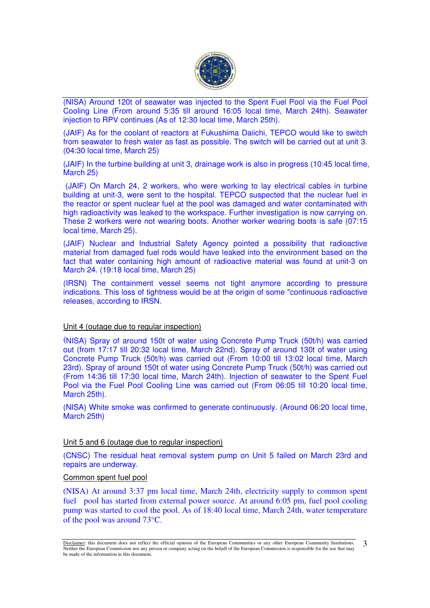

(NISA) Around 120t of seawater was injected to the Spent Fuel Pool via the Fuel Pool Cooling Line (From around 5:35 till around 16:05 local time, March 24th). Seawater injection to RPV continues (As of 12:30 local time, March 25th).

(JAIF) As for the coolant of reactors at Fukushima Daiichi, TEPCO would like to switch from seawater to fresh water as fast as possible. The switch will be carried out at unit 3. (04:30 local time, March 25)

(JAIF) In the turbine building at unit 3, drainage work is also in progress (10:45 local time, March 25)

 (JAIF) On March 24, 2 workers, who were working to lay electrical cables in turbine building at unit-3, were sent to the hospital. TEPCO suspected that the nuclear fuel in the reactor or spent nuclear fuel at the pool was damaged and water contaminated with high radioactivity was leaked to the workspace. Further investigation is now carrying on. These 2 workers were not wearing boots. Another worker wearing boots is safe (07:15 local time, March 25).

(JAIF) Nuclear and Industrial Safety Agency pointed a possibility that radioactive material from damaged fuel rods would have leaked into the environment based on the fact that water containing high amount of radioactive material was found at unit-3 on March 24. (19:18 local time, March 25)

(IRSN) The containment vessel seems not tight anymore according to pressure indications. This loss of tightness would be at the origin of some "continuous radioactive releases, according to IRSN.

## Unit 4 (outage due to regular inspection)

(NISA) Spray of around 150t of water using Concrete Pump Truck (50t/h) was carried out (from 17:17 till 20:32 local time, March 22nd). Spray of around 130t of water using Concrete Pump Truck (50t/h) was carried out (From 10:00 till 13:02 local time, March 23rd). Spray of around 150t of water using Concrete Pump Truck (50t/h) was carried out (From 14:36 till 17:30 local time, March 24th). Injection of seawater to the Spent Fuel Pool via the Fuel Pool Cooling Line was carried out (From 06:05 till 10:20 local time, March 25th).

(NISA) White smoke was confirmed to generate continuously. (Around 06:20 local time, March 25th)

#### Unit 5 and 6 (outage due to regular inspection)

(CNSC) The residual heat removal system pump on Unit 5 failed on March 23rd and repairs are underway.

### Common spent fuel pool

(NISA) At around 3:37 pm local time, March 24th, electricity supply to common spent fuel pool has started from external power source. At around 6:05 pm, fuel pool cooling pump was started to cool the pool. As of 18:40 local time, March 24th, water temperature of the pool was around 73°C.

Disclaimer: this document does not reflect the official opinion of the European Communities or any other European Community Institutions. Neither the European Commission nor any person or company acting on the behalf of the European Commission is responsible for the use that may be made of the information in this document. 3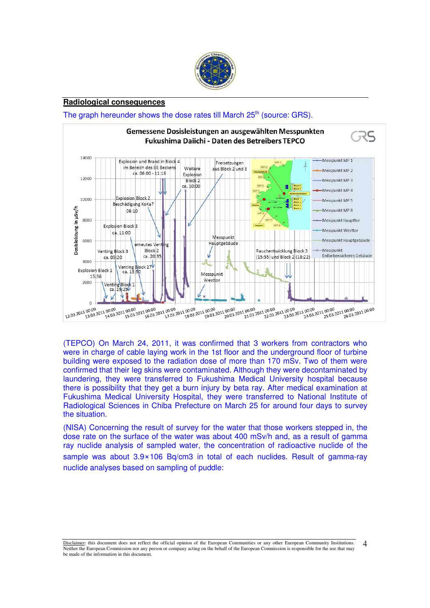

### **Radiological consequences**

# The graph hereunder shows the dose rates till March 25<sup>th</sup> (source: GRS).



(TEPCO) On March 24, 2011, it was confirmed that 3 workers from contractors who were in charge of cable laying work in the 1st floor and the underground floor of turbine building were exposed to the radiation dose of more than 170 mSv. Two of them were confirmed that their leg skins were contaminated. Although they were decontaminated by laundering, they were transferred to Fukushima Medical University hospital because there is possibility that they get a burn injury by beta ray. After medical examination at Fukushima Medical University Hospital, they were transferred to National Institute of Radiological Sciences in Chiba Prefecture on March 25 for around four days to survey the situation.

(NISA) Concerning the result of survey for the water that those workers stepped in, the dose rate on the surface of the water was about 400 mSv/h and, as a result of gamma ray nuclide analysis of sampled water, the concentration of radioactive nuclide of the sample was about 3.9×106 Bq/cm3 in total of each nuclides. Result of gamma-ray nuclide analyses based on sampling of puddle:

Disclaimer: this document does not reflect the official opinion of the European Communities or any other European Community Institutions. Neither the European Commission nor any person or company acting on the behalf of the European Commission is responsible for the use that may be made of the information in this document.  $\Delta$